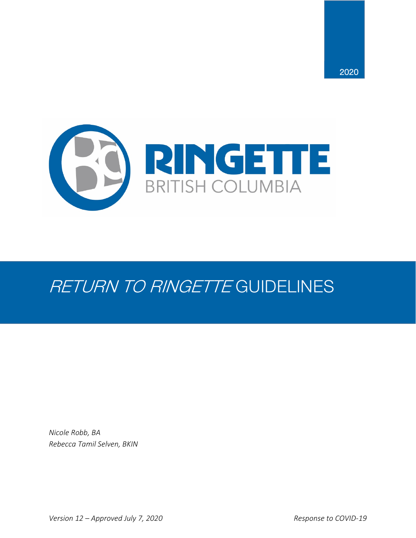

# RETURN TO RINGETTE GUIDELINES

*Nicole Robb, BA Rebecca Tamil Selven, BKIN*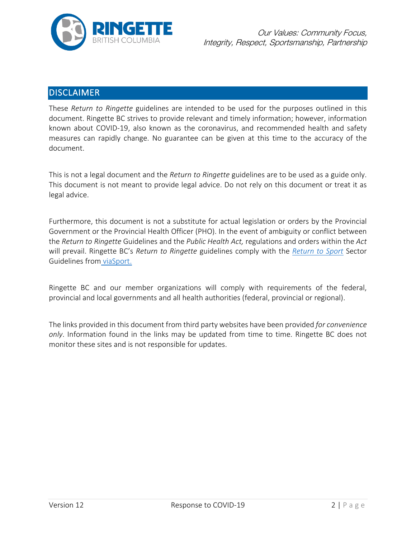

# **DISCLAIMER**

These *Return to Ringette* guidelines are intended to be used for the purposes outlined in this document. Ringette BC strives to provide relevant and timely information; however, information known about COVID-19, also known as the coronavirus, and recommended health and safety measures can rapidly change. No guarantee can be given at this time to the accuracy of the document.

This is not a legal document and the *Return to Ringette* guidelines are to be used as a guide only. This document is not meant to provide legal advice. Do not rely on this document or treat it as legal advice.

Furthermore, this document is not a substitute for actual legislation or orders by the Provincial Government or the Provincial Health Officer (PHO). In the event of ambiguity or conflict between the *Return to Ringette* Guidelines and the *Public Health Act,* regulations and orders within the *Act* will prevail. Ringette BC's *Return to Ringette* guidelines comply with the *[Return to Sport](https://www.viasport.ca/sites/default/files/ReturntoSportGuidelines.pdf?utm_source=PSO+Connector&utm_campaign=f182dbdffe-Sportscape_2019_COPY_01&utm_medium=email&utm_term=0_9305c55a53-f182dbdffe-384328061)* Sector Guidelines from [viaSport.](https://www.viasport.ca/)

Ringette BC and our member organizations will comply with requirements of the federal, provincial and local governments and all health authorities (federal, provincial or regional).

The links provided in this document from third party websites have been provided *for convenience only*. Information found in the links may be updated from time to time. Ringette BC does not monitor these sites and is not responsible for updates.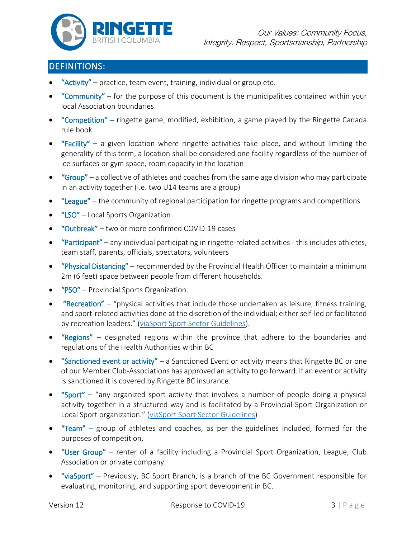

# DEFINITIONS:

- **"Activity"** practice, team event, training, individual or group etc.
- "Community" for the purpose of this document is the municipalities contained within your local Association boundaries.
- "Competition" ringette game, modified, exhibition, a game played by the Ringette Canada rule book.
- "Facility" a given location where ringette activities take place, and without limiting the generality of this term, a location shall be considered one facility regardless of the number of ice surfaces or gym space, room capacity in the location
- $\bullet$  "Group" a collective of athletes and coaches from the same age division who may participate in an activity together (i.e. two U14 teams are a group)
- "League" the community of regional participation for ringette programs and competitions
- "LSO" Local Sports Organization
- "Outbreak" two or more confirmed COVID-19 cases
- "Participant" any individual participating in ringette-related activities this includes athletes, team staff, parents, officials, spectators, volunteers
- "Physical Distancing" recommended by the Provincial Health Officer to maintain a minimum 2m (6 feet) space between people from different households.
- "PSO" Provincial Sports Organization.
- "Recreation" "physical activities that include those undertaken as leisure, fitness training, and sport-related activities done at the discretion of the individual; either self-led or facilitated by recreation leaders." [\(viaSport Sport Sector Guidelines\)](https://www.viasport.ca/sites/default/files/ReturntoSportGuidelines.pdf?utm_source=PSO+Connector&utm_campaign=f182dbdffe-Sportscape_2019_COPY_01&utm_medium=email&utm_term=0_9305c55a53-f182dbdffe-384328061).
- "Regions" designated regions within the province that adhere to the boundaries and regulations of the Health Authorities within BC
- "Sanctioned event or activity" a Sanctioned Event or activity means that Ringette BC or one of our Member Club-Associations has approved an activity to go forward. If an event or activity is sanctioned it is covered by Ringette BC insurance.
- "Sport" "any organized sport activity that involves a number of people doing a physical activity together in a structured way and is facilitated by a Provincial Sport Organization or Local Sport organization." [\(viaSport Sport Sector Guidelines\)](https://www.viasport.ca/sites/default/files/ReturntoSportGuidelines.pdf?utm_source=PSO+Connector&utm_campaign=f182dbdffe-Sportscape_2019_COPY_01&utm_medium=email&utm_term=0_9305c55a53-f182dbdffe-384328061)
- "Team" group of athletes and coaches, as per the guidelines included, formed for the purposes of competition.
- "User Group" renter of a facility including a Provincial Sport Organization, League, Club Association or private company.
- "viaSport" Previously, BC Sport Branch, is a branch of the BC Government responsible for evaluating, monitoring, and supporting sport development in BC.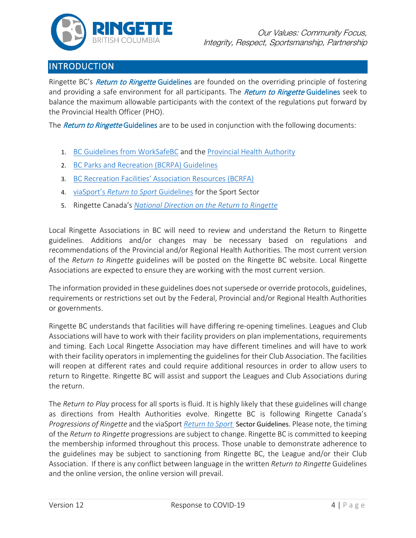

# INTRODUCTION

Ringette BC's Return to Ringette Guidelines are founded on the overriding principle of fostering and providing a safe environment for all participants. The Return to Ringette Guidelines seek to balance the maximum allowable participants with the context of the regulations put forward by the Provincial Health Officer (PHO).

The *Return to Ringette* Guidelines are to be used in conjunction with the following documents:

- 1. [BC Guidelines from WorkSafeBC](https://www.worksafebc.com/en/about-us/covid-19-updates/covid-19-returning-safe-operation/sports-recreation) and the Provincial [Health Authority](https://www2.gov.bc.ca/assets/gov/public-safety-and-emergency-services/emergency-preparedness-response-recovery/gdx/bcs_restart_plan_web.pdf)
- 2. [BC Parks and Recreation](https://www.bcrpa.bc.ca/media/242766/bcrpa-restarting-guidelines-final.pdf) (BCRPA) Guidelines
- 3. [BC Recreation Facilities' Association Resources \(BCRFA\)](http://www.rfabc.com/)
- 4. viaSport's *[Return to Sport](https://www.viasport.ca/sites/default/files/ReturntoSportGuidelines.pdf?utm_source=PSO+Connector&utm_campaign=f182dbdffe-Sportscape_2019_COPY_01&utm_medium=email&utm_term=0_9305c55a53-f182dbdffe-384328061)* Guidelines for the Sport Sector
- 5. Ringette Canada's *[National Direction on the Return to Ringette](https://www.ringette.ca/wp-content/uploads/2020/07/Return_to_Ringette_2020.pdf)*

Local Ringette Associations in BC will need to review and understand the Return to Ringette guidelines. Additions and/or changes may be necessary based on regulations and recommendations of the Provincial and/or Regional Health Authorities. The most current version of the *Return to Ringette* guidelines will be posted on the Ringette BC website. Local Ringette Associations are expected to ensure they are working with the most current version.

The information provided in these guidelines does not supersede or override protocols, guidelines, requirements or restrictions set out by the Federal, Provincial and/or Regional Health Authorities or governments.

Ringette BC understands that facilities will have differing re-opening timelines. Leagues and Club Associations will have to work with their facility providers on plan implementations, requirements and timing. Each Local Ringette Association may have different timelines and will have to work with their facility operators in implementing the guidelines for their Club Association. The facilities will reopen at different rates and could require additional resources in order to allow users to return to Ringette. Ringette BC will assist and support the Leagues and Club Associations during the return.

The *Return to Play* process for all sports is fluid. It is highly likely that these guidelines will change as directions from Health Authorities evolve. Ringette BC is following Ringette Canada's *Progressions of Ringette* and the viaSport *[Return to Sport](https://www.viasport.ca/sites/default/files/ReturntoSportGuidelines.pdf?utm_source=PSO+Connector&utm_campaign=f182dbdffe-Sportscape_2019_COPY_01&utm_medium=email&utm_term=0_9305c55a53-f182dbdffe-384328061)* Sector Guidelines. Please note, the timing of the *Return to Ringette* progressions are subject to change. Ringette BC is committed to keeping the membership informed throughout this process. Those unable to demonstrate adherence to the guidelines may be subject to sanctioning from Ringette BC, the League and/or their Club Association. If there is any conflict between language in the written *Return to Ringette* Guidelines and the online version, the online version will prevail.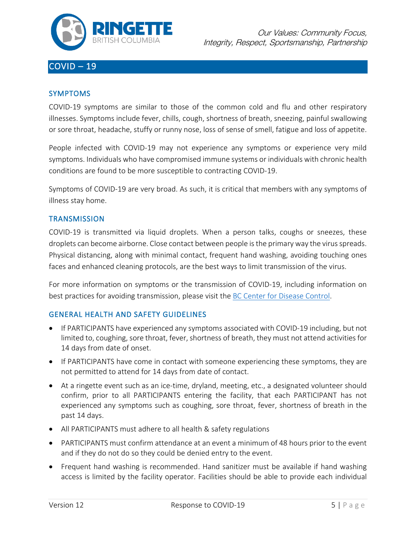

# COVID – 19

#### SYMPTOMS

COVID-19 symptoms are similar to those of the common cold and flu and other respiratory illnesses. Symptoms include fever, chills, cough, shortness of breath, sneezing, painful swallowing or sore throat, headache, stuffy or runny nose, loss of sense of smell, fatigue and loss of appetite.

People infected with COVID-19 may not experience any symptoms or experience very mild symptoms. Individuals who have compromised immune systems or individuals with chronic health conditions are found to be more susceptible to contracting COVID-19.

Symptoms of COVID-19 are very broad. As such, it is critical that members with any symptoms of illness stay home.

#### **TRANSMISSION**

COVID-19 is transmitted via liquid droplets. When a person talks, coughs or sneezes, these droplets can become airborne. Close contact between people is the primary way the virus spreads. Physical distancing, along with minimal contact, frequent hand washing, avoiding touching ones faces and enhanced cleaning protocols, are the best ways to limit transmission of the virus.

For more information on symptoms or the transmission of COVID-19, including information on best practices for avoiding transmission, please visit the [BC Center for Disease Control.](http://www.bccdc.ca/)

#### GENERAL HEALTH AND SAFETY GUIDELINES

- If PARTICIPANTS have experienced any symptoms associated with COVID-19 including, but not limited to, coughing, sore throat, fever, shortness of breath, they must not attend activities for 14 days from date of onset.
- If PARTICIPANTS have come in contact with someone experiencing these symptoms, they are not permitted to attend for 14 days from date of contact.
- At a ringette event such as an ice-time, dryland, meeting, etc., a designated volunteer should confirm, prior to all PARTICIPANTS entering the facility, that each PARTICIPANT has not experienced any symptoms such as coughing, sore throat, fever, shortness of breath in the past 14 days.
- All PARTICIPANTS must adhere to all health & safety regulations
- PARTICIPANTS must confirm attendance at an event a minimum of 48 hours prior to the event and if they do not do so they could be denied entry to the event.
- Frequent hand washing is recommended. Hand sanitizer must be available if hand washing access is limited by the facility operator. Facilities should be able to provide each individual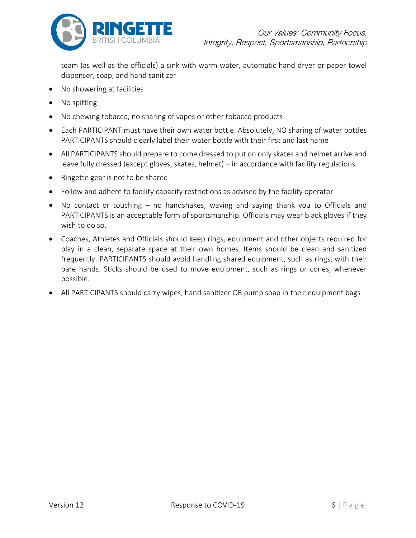

team (as well as the officials) a sink with warm water, automatic hand dryer or paper towel dispenser, soap, and hand sanitizer

- No showering at facilities
- No spitting
- No chewing tobacco, no sharing of vapes or other tobacco products
- Each PARTICIPANT must have their own water bottle. Absolutely, NO sharing of water bottles PARTICIPANTS should clearly label their water bottle with their first and last name
- All PARTICIPANTS should prepare to come dressed to put on only skates and helmet arrive and leave fully dressed (except gloves, skates, helmet) – in accordance with facility regulations
- Ringette gear is not to be shared
- Follow and adhere to facility capacity restrictions as advised by the facility operator
- No contact or touching no handshakes, waving and saying thank you to Officials and PARTICIPANTS is an acceptable form of sportsmanship. Officials may wear black gloves if they wish to do so.
- Coaches, Athletes and Officials should keep rings, equipment and other objects required for play in a clean, separate space at their own homes. Items should be clean and sanitized frequently. PARTICIPANTS should avoid handling shared equipment, such as rings, with their bare hands. Sticks should be used to move equipment, such as rings or cones, whenever possible.
- All PARTICIPANTS should carry wipes, hand sanitizer OR pump soap in their equipment bags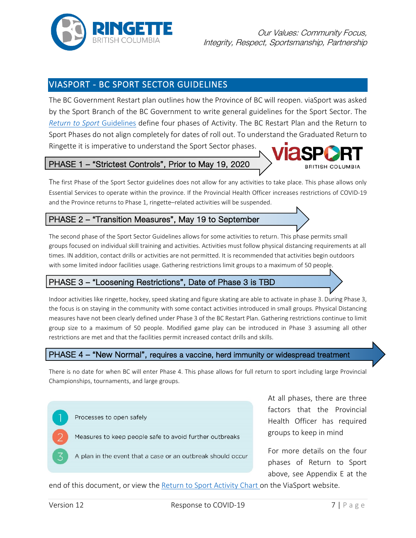

# VIASPORT - BC SPORT SECTOR GUIDELINES

The BC Government Restart plan outlines how the Province of BC will reopen. viaSport was asked by the Sport Branch of the BC Government to write general guidelines for the Sport Sector. The *[Return to Sport](https://www.viasport.ca/sites/default/files/ReturntoSportGuidelines.pdf?utm_source=PSO+Connector&utm_campaign=f182dbdffe-Sportscape_2019_COPY_01&utm_medium=email&utm_term=0_9305c55a53-f182dbdffe-384328061)* Guidelines define four phases of Activity. The BC Restart Plan and the Return to Sport Phases do not align completely for dates of roll out. To understand the Graduated Return to Ringette it is imperative to understand the Sport Sector phases.

### PHASE 1 – "Strictest Controls", Prior to May 19, 2020

The first Phase of the Sport Sector guidelines does not allow for any activities to take place. This phase allows only Essential Services to operate within the province. If the Provincial Health Officer increases restrictions of COVID-19 and the Province returns to Phase 1, ringette–related activities will be suspended.

### PHASE 2 – "Transition Measures", May 19 to September

The second phase of the Sport Sector Guidelines allows for some activities to return. This phase permits small groups focused on individual skill training and activities. Activities must follow physical distancing requirements at all times. IN addition, contact drills or activities are not permitted. It is recommended that activities begin outdoors with some limited indoor facilities usage. Gathering restrictions limit groups to a maximum of 50 people.

#### PHASE 3 – "Loosening Restrictions", Date of Phase 3 is TBD

Indoor activities like ringette, hockey, speed skating and figure skating are able to activate in phase 3. During Phase 3, the focus is on staying in the community with some contact activities introduced in small groups. Physical Distancing measures have not been clearly defined under Phase 3 of the BC Restart Plan. Gathering restrictions continue to limit group size to a maximum of 50 people. Modified game play can be introduced in Phase 3 assuming all other restrictions are met and that the facilities permit increased contact drills and skills.

#### PHASE 4 – "New Normal", requires a vaccine, herd immunity or widespread treatment

There is no date for when BC will enter Phase 4. This phase allows for full return to sport including large Provincial Championships, tournaments, and large groups.



At all phases, there are three factors that the Provincial Health Officer has required groups to keep in mind

For more details on the four phases of Return to Sport above, see Appendix E at the

end of this document, or view the [Return to Sport Activity Chart o](https://www.viasport.ca/sites/default/files/RTS%20Chart_0.pdf)n the ViaSport website.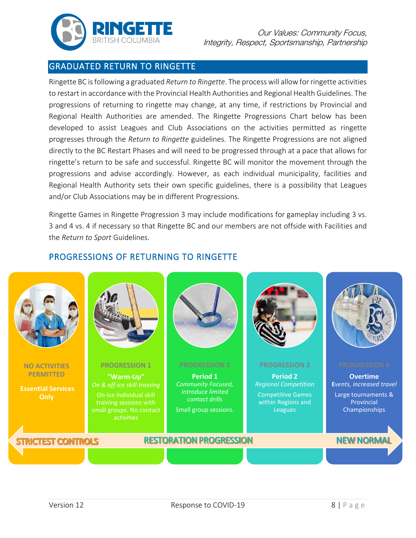

### GRADUATED RETURN TO RINGETTE

Ringette BC is following a graduated *Return to Ringette*. The process will allow for ringette activities to restart in accordance with the Provincial Health Authorities and Regional Health Guidelines. The progressions of returning to ringette may change, at any time, if restrictions by Provincial and Regional Health Authorities are amended. The Ringette Progressions Chart below has been developed to assist Leagues and Club Associations on the activities permitted as ringette progresses through the *Return to Ringette* guidelines. The Ringette Progressions are not aligned directly to the BC Restart Phases and will need to be progressed through at a pace that allows for ringette's return to be safe and successful. Ringette BC will monitor the movement through the progressions and advise accordingly. However, as each individual municipality, facilities and Regional Health Authority sets their own specific guidelines, there is a possibility that Leagues and/or Club Associations may be in different Progressions.

Ringette Games in Ringette Progression 3 may include modifications for gameplay including 3 vs. 3 and 4 vs. 4 if necessary so that Ringette BC and our members are not offside with Facilities and the *Return to Sport* Guidelines.

### PROGRESSIONS OF RETURNING TO RINGETTE

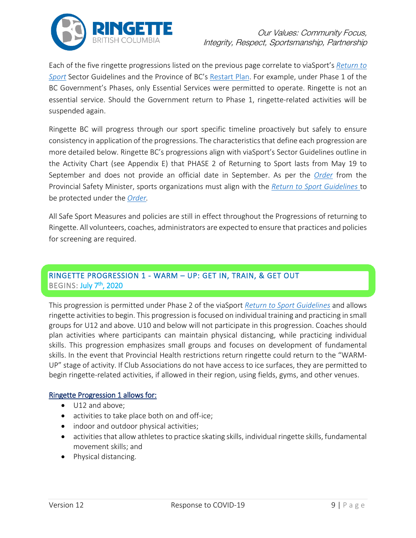

Each of the five ringette progressions listed on the previous page correlate to viaSport's *[Return to](https://www.viasport.ca/sites/default/files/ReturntoSportGuidelines.pdf?utm_source=PSO+Connector&utm_campaign=f182dbdffe-Sportscape_2019_COPY_01&utm_medium=email&utm_term=0_9305c55a53-f182dbdffe-384328061)  [Sport](https://www.viasport.ca/sites/default/files/ReturntoSportGuidelines.pdf?utm_source=PSO+Connector&utm_campaign=f182dbdffe-Sportscape_2019_COPY_01&utm_medium=email&utm_term=0_9305c55a53-f182dbdffe-384328061)* Sector Guidelines and the Province of BC's [Restart Plan.](https://www2.gov.bc.ca/assets/gov/public-safety-and-emergency-services/emergency-preparedness-response-recovery/gdx/bcs_restart_plan_web.pdf) For example, under Phase 1 of the BC Government's Phases, only Essential Services were permitted to operate. Ringette is not an essential service. Should the Government return to Phase 1, ringette-related activities will be suspended again.

Ringette BC will progress through our sport specific timeline proactively but safely to ensure consistency in application of the progressions. The characteristics that define each progression are more detailed below. Ringette BC's progressions align with viaSport's Sector Guidelines outline in the Activity Chart (see Appendix E) that PHASE 2 of Returning to Sport lasts from May 19 to September and does not provide an official date in September. As per the *[Order](http://www.bclaws.ca/civix/document/id/mo/mo/2020_m183/search/CIVIX_DOCUMENT_ROOT_STEM:(sport)%20AND%20CIVIX_DOCUMENT_ANCESTORS:1115649140?1)* from the Provincial Safety Minister, sports organizations must align with the *[Return to Sport Guidelines](https://www.viasport.ca/sites/default/files/ReturntoSportGuidelines.pdf?utm_source=PSO+Connector&utm_campaign=f182dbdffe-Sportscape_2019_COPY_01&utm_medium=email&utm_term=0_9305c55a53-f182dbdffe-384328061)* to be protected under the *[Order.](http://www.bclaws.ca/civix/document/id/mo/mo/2020_m183/search/CIVIX_DOCUMENT_ROOT_STEM:(sport)%20AND%20CIVIX_DOCUMENT_ANCESTORS:1115649140?1)* 

All Safe Sport Measures and policies are still in effect throughout the Progressions of returning to Ringette. All volunteers, coaches, administrators are expected to ensure that practices and policies for screening are required.

### RINGETTE PROGRESSION 1 - WARM – UP: GET IN, TRAIN, & GET OUT BEGINS: July 7<sup>th</sup>, 2020

This progression is permitted under Phase 2 of the viaSport *[Return to Sport Guidelines](https://www.viasport.ca/sites/default/files/ReturntoSportGuidelines.pdf?utm_source=PSO+Connector&utm_campaign=f182dbdffe-Sportscape_2019_COPY_01&utm_medium=email&utm_term=0_9305c55a53-f182dbdffe-384328061)* and allows ringette activities to begin. This progression is focused on individual training and practicing in small groups for U12 and above. U10 and below will not participate in this progression. Coaches should plan activities where participants can maintain physical distancing, while practicing individual skills. This progression emphasizes small groups and focuses on development of fundamental skills. In the event that Provincial Health restrictions return ringette could return to the "WARM-UP" stage of activity. If Club Associations do not have access to ice surfaces, they are permitted to begin ringette-related activities, if allowed in their region, using fields, gyms, and other venues.

#### Ringette Progression 1 allows for:

- U12 and above;
- activities to take place both on and off-ice;
- indoor and outdoor physical activities;
- activities that allow athletes to practice skating skills, individual ringette skills, fundamental movement skills; and
- Physical distancing.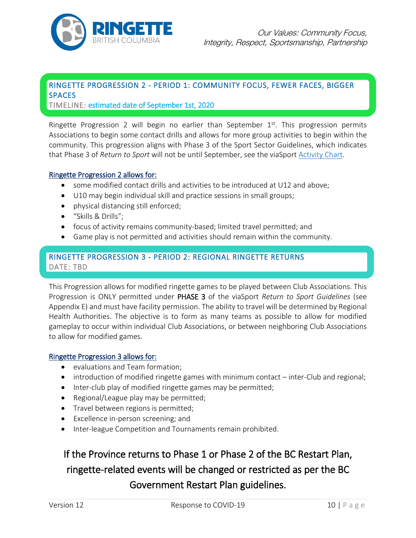

# <span id="page-9-0"></span>RINGETTE PROGRESSION 2 - PERIOD 1: COMMUNITY FOCUS, FEWER FACES, BIGGER **SPACES**

TIMELINE: estimated date of September 1st, 2020

Ringette Progression 2 will begin no earlier than September  $1<sup>st</sup>$ . This progression permits Associations to begin some contact drills and allows for more group activities to begin within the community. This progression aligns with Phase 3 of the Sport Sector Guidelines, which indicates that Phase 3 of *Return to Sport* will not be until September, see the viaSpor[t Activity Chart.](https://www.viasport.ca/sites/default/files/RTS%20Chart_0.pdf)

#### Ringette Progression 2 allows for:

- some modified contact drills and activities to be introduced at U12 and above;
- U10 may begin individual skill and practice sessions in small groups;
- physical distancing still enforced;
- "Skills & Drills";
- focus of activity remains community-based; limited travel permitted; and
- Game play is not permitted and activities should remain within the community.

### RINGETTE PROGRESSION 3 - PERIOD 2: REGIONAL RINGETTE RETURNS DATE: TBD

This Progression allows for modified ringette games to be played between Club Associations. This Progression is ONLY permitted under PHASE 3 of the viaSport *Return to Sport Guidelines* (see Appendix E) and must have facility permission. The ability to travel will be determined by Regional Health Authorities. The objective is to form as many teams as possible to allow for modified gameplay to occur within individual Club Associations, or between neighboring Club Associations to allow for modified games.

#### Ringette Progression 3 allows for:

- evaluations and Team formation;
- introduction of modified ringette games with minimum contact inter-Club and regional;
- Inter-club play of modified ringette games may be permitted;
- Regional/League play may be permitted;
- Travel between regions is permitted;
- Excellence in-person screening; and
- Inter-league Competition and Tournaments remain prohibited.

# If the Province returns to Phase 1 or Phase 2 of the BC Restart Plan, ringette-related events will be changed or restricted as per the BC Government Restart Plan guidelines.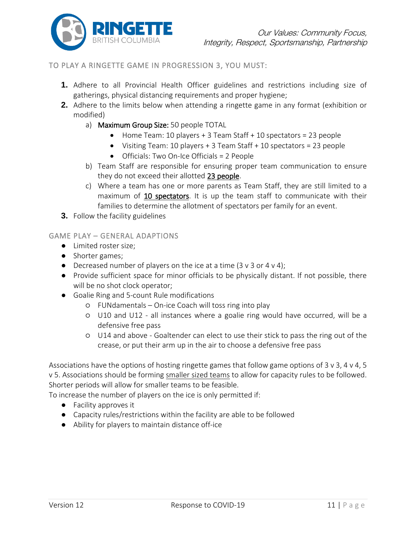

#### <span id="page-10-0"></span>TO PLAY A RINGETTE GAME IN PROGRESSION 3, YOU MUST:

- **1.** Adhere to all Provincial Health Officer guidelines and restrictions including size of gatherings, physical distancing requirements and proper hygiene;
- **2.** Adhere to the limits below when attending a ringette game in any format (exhibition or modified)
	- a) Maximum Group Size: 50 people TOTAL
		- Home Team: 10 players + 3 Team Staff + 10 spectators = 23 people
		- Visiting Team: 10 players + 3 Team Staff + 10 spectators = 23 people
		- Officials: Two On-Ice Officials = 2 People
	- b) Team Staff are responsible for ensuring proper team communication to ensure they do not exceed their allotted 23 people.
	- c) Where a team has one or more parents as Team Staff, they are still limited to a maximum of 10 spectators. It is up the team staff to communicate with their families to determine the allotment of spectators per family for an event.
- **3.** Follow the facility guidelines

#### GAME PLAY – GENERAL ADAPTIONS

- Limited roster size;
- Shorter games;
- Decreased number of players on the ice at a time  $(3 \vee 3 \vee 4 \vee 4);$
- Provide sufficient space for minor officials to be physically distant. If not possible, there will be no shot clock operator;
- Goalie Ring and 5-count Rule modifications
	- FUNdamentals On-ice Coach will toss ring into play
	- U10 and U12 all instances where a goalie ring would have occurred, will be a defensive free pass
	- U14 and above Goaltender can elect to use their stick to pass the ring out of the crease, or put their arm up in the air to choose a defensive free pass

Associations have the options of hosting ringette games that follow game options of 3 v 3, 4 v 4, 5 v 5. Associations should be forming smaller sized teams to allow for capacity rules to be followed. Shorter periods will allow for smaller teams to be feasible.

To increase the number of players on the ice is only permitted if:

- Facility approves it
- Capacity rules/restrictions within the facility are able to be followed
- Ability for players to maintain distance off-ice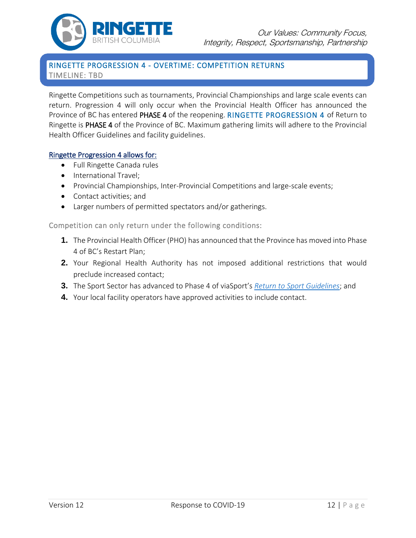

### RINGETTE PROGRESSION 4 - OVERTIME: COMPETITION RETURNS TIMELINE: TBD

Ringette Competitions such as tournaments, Provincial Championships and large scale events can return. Progression 4 will only occur when the Provincial Health Officer has announced the Province of BC has entered PHASE 4 of the reopening. RINGETTE PROGRESSION 4 of Return to Ringette is PHASE 4 of the Province of BC. Maximum gathering limits will adhere to the Provincial Health Officer Guidelines and facility guidelines.

#### Ringette Progression 4 allows for:

- Full Ringette Canada rules
- International Travel;
- Provincial Championships, Inter-Provincial Competitions and large-scale events;
- Contact activities; and
- Larger numbers of permitted spectators and/or gatherings.

Competition can only return under the following conditions:

- **1.** The Provincial Health Officer (PHO) has announced that the Province has moved into Phase 4 of BC's Restart Plan;
- **2.** Your Regional Health Authority has not imposed additional restrictions that would preclude increased contact;
- **3.** The Sport Sector has advanced to Phase 4 of viaSport's *[Return to Sport](https://www.viasport.ca/sites/default/files/ReturntoSportGuidelines.pdf?utm_source=PSO+Connector&utm_campaign=f182dbdffe-Sportscape_2019_COPY_01&utm_medium=email&utm_term=0_9305c55a53-f182dbdffe-384328061) Guidelines*; and
- **4.** Your local facility operators have approved activities to include contact.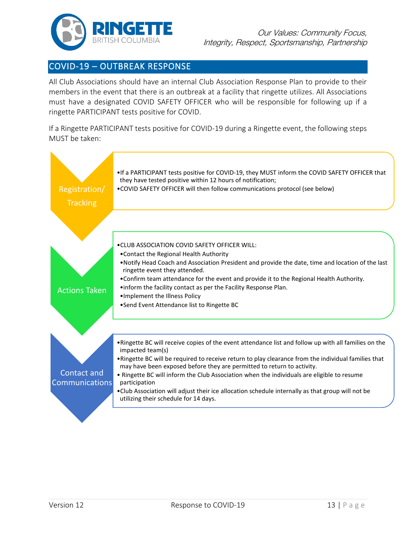

# COVID-19 – OUTBREAK RESPONSE

All Club Associations should have an internal Club Association Response Plan to provide to their members in the event that there is an outbreak at a facility that ringette utilizes. All Associations must have a designated COVID SAFETY OFFICER who will be responsible for following up if a ringette PARTICIPANT tests positive for COVID.

If a Ringette PARTICIPANT tests positive for COVID-19 during a Ringette event, the following steps MUST be taken:

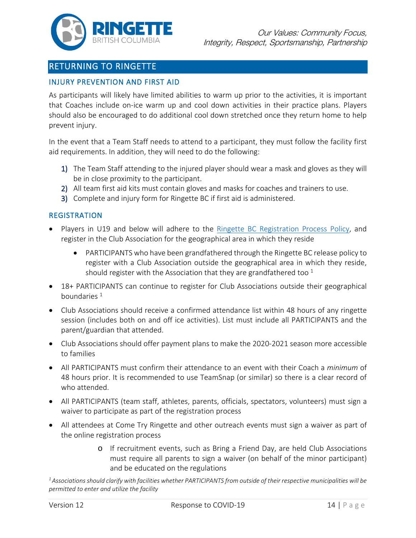

# RETURNING TO RINGETTE

#### INJURY PREVENTION AND FIRST AID

As participants will likely have limited abilities to warm up prior to the activities, it is important that Coaches include on-ice warm up and cool down activities in their practice plans. Players should also be encouraged to do additional cool down stretched once they return home to help prevent injury.

In the event that a Team Staff needs to attend to a participant, they must follow the facility first aid requirements. In addition, they will need to do the following:

- 1) The Team Staff attending to the injured player should wear a mask and gloves as they will be in close proximity to the participant.
- 2) All team first aid kits must contain gloves and masks for coaches and trainers to use.
- 3) Complete and injury form for Ringette BC if first aid is administered.

#### REGISTRATION

- Players in U19 and below will adhere to the [Ringette BC Registration Process Policy,](https://www.ringettebc.ca/wp-content/uploads/2019/08/1.1-Registration-Process.pdf) and register in the Club Association for the geographical area in which they reside
	- PARTICIPANTS who have been grandfathered through the Ringette BC release policy to register with a Club Association outside the geographical area in which they reside, should register with the Association that they are grandfathered too  $1$
- 18+ PARTICIPANTS can continue to register for Club Associations outside their geographical boundaries  $1$
- Club Associations should receive a confirmed attendance list within 48 hours of any ringette session (includes both on and off ice activities). List must include all PARTICIPANTS and the parent/guardian that attended.
- Club Associations should offer payment plans to make the 2020-2021 season more accessible to families
- All PARTICIPANTS must confirm their attendance to an event with their Coach a *minimum* of 48 hours prior. It is recommended to use TeamSnap (or similar) so there is a clear record of who attended.
- All PARTICIPANTS (team staff, athletes, parents, officials, spectators, volunteers) must sign a waiver to participate as part of the registration process
- All attendees at Come Try Ringette and other outreach events must sign a waiver as part of the online registration process
	- o If recruitment events, such as Bring a Friend Day, are held Club Associations must require all parents to sign a waiver (on behalf of the minor participant) and be educated on the regulations

*1 Associations should clarify with facilities whether PARTICIPANTS from outside of their respective municipalities will be permitted to enter and utilize the facility*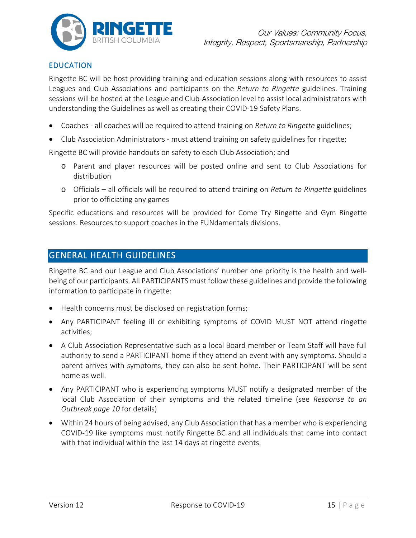

### EDUCATION

Ringette BC will be host providing training and education sessions along with resources to assist Leagues and Club Associations and participants on the *Return to Ringette* guidelines. Training sessions will be hosted at the League and Club-Association level to assist local administrators with understanding the Guidelines as well as creating their COVID-19 Safety Plans.

- Coaches all coaches will be required to attend training on *Return to Ringette* guidelines;
- Club Association Administrators must attend training on safety guidelines for ringette;

Ringette BC will provide handouts on safety to each Club Association; and

- o Parent and player resources will be posted online and sent to Club Associations for distribution
- o Officials all officials will be required to attend training on *Return to Ringette* guidelines prior to officiating any games

Specific educations and resources will be provided for Come Try Ringette and Gym Ringette sessions. Resources to support coaches in the FUNdamentals divisions.

# GENERAL HEALTH GUIDELINES

Ringette BC and our League and Club Associations' number one priority is the health and wellbeing of our participants. All PARTICIPANTS must follow these guidelines and provide the following information to participate in ringette:

- Health concerns must be disclosed on registration forms;
- Any PARTICIPANT feeling ill or exhibiting symptoms of COVID MUST NOT attend ringette activities;
- A Club Association Representative such as a local Board member or Team Staff will have full authority to send a PARTICIPANT home if they attend an event with any symptoms. Should a parent arrives with symptoms, they can also be sent home. Their PARTICIPANT will be sent home as well.
- Any PARTICIPANT who is experiencing symptoms MUST notify a designated member of the local Club Association of their symptoms and the related timeline (see *Response to an Outbreak page 10* for details)
- Within 24 hours of being advised, any Club Association that has a member who is experiencing COVID-19 like symptoms must notify Ringette BC and all individuals that came into contact with that individual within the last 14 days at ringette events.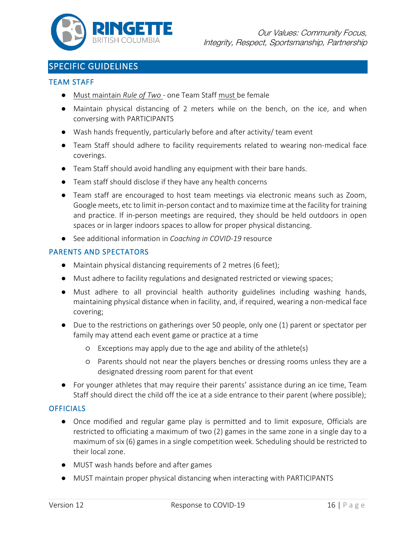

# SPECIFIC GUIDELINES

#### TEAM STAFF

- Must maintain *Rule of Two* one Team Staff must be female
- Maintain physical distancing of 2 meters while on the bench, on the ice, and when conversing with PARTICIPANTS
- Wash hands frequently, particularly before and after activity/ team event
- Team Staff should adhere to facility requirements related to wearing non-medical face coverings.
- Team Staff should avoid handling any equipment with their bare hands.
- Team staff should disclose if they have any health concerns
- Team staff are encouraged to host team meetings via electronic means such as Zoom, Google meets, etc to limit in-person contact and to maximize time at the facility for training and practice. If in-person meetings are required, they should be held outdoors in open spaces or in larger indoors spaces to allow for proper physical distancing.
- See additional information in *Coaching in COVID-19* resource

#### PARENTS AND SPECTATORS

- Maintain physical distancing requirements of 2 metres (6 feet);
- Must adhere to facility regulations and designated restricted or viewing spaces;
- Must adhere to all provincial health authority guidelines including washing hands, maintaining physical distance when in facility, and, if required, wearing a non-medical face covering;
- Due to the restrictions on gatherings over 50 people, only one (1) parent or spectator per family may attend each event game or practice at a time
	- Exceptions may apply due to the age and ability of the athlete(s)
	- Parents should not near the players benches or dressing rooms unless they are a designated dressing room parent for that event
- For younger athletes that may require their parents' assistance during an ice time, Team Staff should direct the child off the ice at a side entrance to their parent (where possible);

#### **OFFICIALS**

- Once modified and regular game play is permitted and to limit exposure, Officials are restricted to officiating a maximum of two (2) games in the same zone in a single day to a maximum of six (6) games in a single competition week. Scheduling should be restricted to their local zone.
- MUST wash hands before and after games
- MUST maintain proper physical distancing when interacting with PARTICIPANTS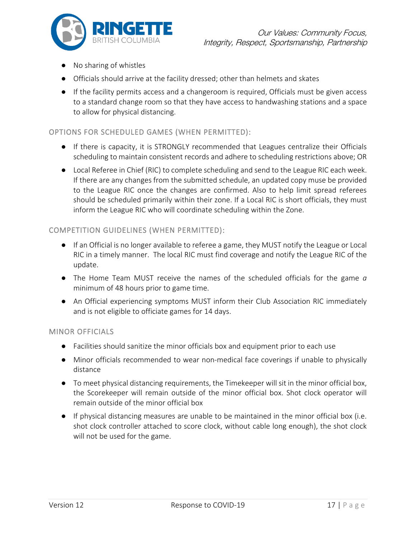

- No sharing of whistles
- Officials should arrive at the facility dressed; other than helmets and skates
- If the facility permits access and a changeroom is required, Officials must be given access to a standard change room so that they have access to handwashing stations and a space to allow for physical distancing.

#### OPTIONS FOR SCHEDULED GAMES (WHEN PERMITTED):

- If there is capacity, it is STRONGLY recommended that Leagues centralize their Officials scheduling to maintain consistent records and adhere to scheduling restrictions above; OR
- Local Referee in Chief (RIC) to complete scheduling and send to the League RIC each week. If there are any changes from the submitted schedule, an updated copy muse be provided to the League RIC once the changes are confirmed. Also to help limit spread referees should be scheduled primarily within their zone. If a Local RIC is short officials, they must inform the League RIC who will coordinate scheduling within the Zone.

#### COMPETITION GUIDELINES (WHEN PERMITTED):

- If an Official is no longer available to referee a game, they MUST notify the League or Local RIC in a timely manner. The local RIC must find coverage and notify the League RIC of the update.
- The Home Team MUST receive the names of the scheduled officials for the game *a*  minimum of 48 hours prior to game time.
- An Official experiencing symptoms MUST inform their Club Association RIC immediately and is not eligible to officiate games for 14 days.

#### MINOR OFFICIALS

- Facilities should sanitize the minor officials box and equipment prior to each use
- Minor officials recommended to wear non-medical face coverings if unable to physically distance
- To meet physical distancing requirements, the Timekeeper will sit in the minor official box, the Scorekeeper will remain outside of the minor official box. Shot clock operator will remain outside of the minor official box
- If physical distancing measures are unable to be maintained in the minor official box (i.e. shot clock controller attached to score clock, without cable long enough), the shot clock will not be used for the game.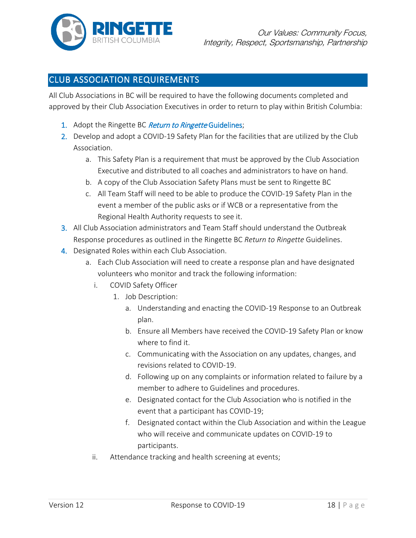

# CLUB ASSOCIATION REQUIREMENTS

All Club Associations in BC will be required to have the following documents completed and approved by their Club Association Executives in order to return to play within British Columbia:

- 1. Adopt the Ringette BC Return to Ringette Guidelines;
- 2. Develop and adopt a COVID-19 Safety Plan for the facilities that are utilized by the Club Association.
	- a. This Safety Plan is a requirement that must be approved by the Club Association Executive and distributed to all coaches and administrators to have on hand.
	- b. A copy of the Club Association Safety Plans must be sent to Ringette BC
	- c. All Team Staff will need to be able to produce the COVID-19 Safety Plan in the event a member of the public asks or if WCB or a representative from the Regional Health Authority requests to see it.
- 3. All Club Association administrators and Team Staff should understand the Outbreak Response procedures as outlined in the Ringette BC *Return to Ringette* Guidelines.
- 4. Designated Roles within each Club Association.
	- a. Each Club Association will need to create a response plan and have designated volunteers who monitor and track the following information:
		- i. COVID Safety Officer
			- 1. Job Description:
				- a. Understanding and enacting the COVID-19 Response to an Outbreak plan.
				- b. Ensure all Members have received the COVID-19 Safety Plan or know where to find it.
				- c. Communicating with the Association on any updates, changes, and revisions related to COVID-19.
				- d. Following up on any complaints or information related to failure by a member to adhere to Guidelines and procedures.
				- e. Designated contact for the Club Association who is notified in the event that a participant has COVID-19;
				- f. Designated contact within the Club Association and within the League who will receive and communicate updates on COVID-19 to participants.
		- ii. Attendance tracking and health screening at events;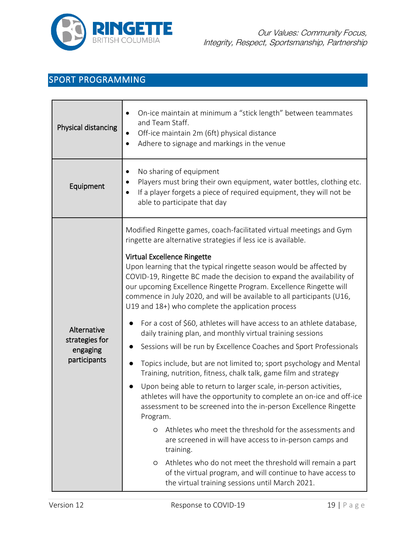

# SPORT PROGRAMMING

| Physical distancing                                       | On-ice maintain at minimum a "stick length" between teammates<br>and Team Staff.<br>Off-ice maintain 2m (6ft) physical distance<br>Adhere to signage and markings in the venue<br>$\bullet$                                                                                                                                                                                                                                                                                                                                                                                                                                                                                                                                                                                                                                                                                                                                                                                                                                                                                                                                                                                                                                                                                                                                                                                                                                                           |  |  |
|-----------------------------------------------------------|-------------------------------------------------------------------------------------------------------------------------------------------------------------------------------------------------------------------------------------------------------------------------------------------------------------------------------------------------------------------------------------------------------------------------------------------------------------------------------------------------------------------------------------------------------------------------------------------------------------------------------------------------------------------------------------------------------------------------------------------------------------------------------------------------------------------------------------------------------------------------------------------------------------------------------------------------------------------------------------------------------------------------------------------------------------------------------------------------------------------------------------------------------------------------------------------------------------------------------------------------------------------------------------------------------------------------------------------------------------------------------------------------------------------------------------------------------|--|--|
| Equipment                                                 | No sharing of equipment<br>$\bullet$<br>Players must bring their own equipment, water bottles, clothing etc.<br>If a player forgets a piece of required equipment, they will not be<br>able to participate that day                                                                                                                                                                                                                                                                                                                                                                                                                                                                                                                                                                                                                                                                                                                                                                                                                                                                                                                                                                                                                                                                                                                                                                                                                                   |  |  |
| Alternative<br>strategies for<br>engaging<br>participants | Modified Ringette games, coach-facilitated virtual meetings and Gym<br>ringette are alternative strategies if less ice is available.<br><b>Virtual Excellence Ringette</b><br>Upon learning that the typical ringette season would be affected by<br>COVID-19, Ringette BC made the decision to expand the availability of<br>our upcoming Excellence Ringette Program. Excellence Ringette will<br>commence in July 2020, and will be available to all participants (U16,<br>U19 and 18+) who complete the application process<br>For a cost of \$60, athletes will have access to an athlete database,<br>daily training plan, and monthly virtual training sessions<br>Sessions will be run by Excellence Coaches and Sport Professionals<br>Topics include, but are not limited to; sport psychology and Mental<br>Training, nutrition, fitness, chalk talk, game film and strategy<br>Upon being able to return to larger scale, in-person activities,<br>athletes will have the opportunity to complete an on-ice and off-ice<br>assessment to be screened into the in-person Excellence Ringette<br>Program.<br>Athletes who meet the threshold for the assessments and<br>O<br>are screened in will have access to in-person camps and<br>training.<br>Athletes who do not meet the threshold will remain a part<br>$\circ$<br>of the virtual program, and will continue to have access to<br>the virtual training sessions until March 2021. |  |  |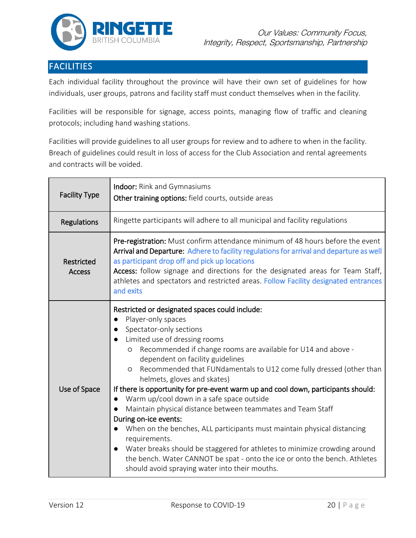

# FACILITIES

Each individual facility throughout the province will have their own set of guidelines for how individuals, user groups, patrons and facility staff must conduct themselves when in the facility.

Facilities will be responsible for signage, access points, managing flow of traffic and cleaning protocols; including hand washing stations.

Facilities will provide guidelines to all user groups for review and to adhere to when in the facility. Breach of guidelines could result in loss of access for the Club Association and rental agreements and contracts will be voided.

| <b>Facility Type</b>        | Indoor: Rink and Gymnasiums<br>Other training options: field courts, outside areas                                                                                                                                                                                                                                                                                                                                                                                                                                                                                                                                                                                                                                                                                                                                                                                                             |  |  |
|-----------------------------|------------------------------------------------------------------------------------------------------------------------------------------------------------------------------------------------------------------------------------------------------------------------------------------------------------------------------------------------------------------------------------------------------------------------------------------------------------------------------------------------------------------------------------------------------------------------------------------------------------------------------------------------------------------------------------------------------------------------------------------------------------------------------------------------------------------------------------------------------------------------------------------------|--|--|
| Regulations                 | Ringette participants will adhere to all municipal and facility regulations                                                                                                                                                                                                                                                                                                                                                                                                                                                                                                                                                                                                                                                                                                                                                                                                                    |  |  |
| Restricted<br><b>Access</b> | Pre-registration: Must confirm attendance minimum of 48 hours before the event<br>Arrival and Departure: Adhere to facility regulations for arrival and departure as well<br>as participant drop off and pick up locations<br>Access: follow signage and directions for the designated areas for Team Staff,<br>athletes and spectators and restricted areas. Follow Facility designated entrances<br>and exits                                                                                                                                                                                                                                                                                                                                                                                                                                                                                |  |  |
| Use of Space                | Restricted or designated spaces could include:<br>Player-only spaces<br>Spectator-only sections<br>Limited use of dressing rooms<br>Recommended if change rooms are available for U14 and above -<br>O<br>dependent on facility guidelines<br>Recommended that FUNdamentals to U12 come fully dressed (other than<br>$\circ$<br>helmets, gloves and skates)<br>If there is opportunity for pre-event warm up and cool down, participants should:<br>Warm up/cool down in a safe space outside<br>Maintain physical distance between teammates and Team Staff<br>During on-ice events:<br>When on the benches, ALL participants must maintain physical distancing<br>requirements.<br>Water breaks should be staggered for athletes to minimize crowding around<br>the bench. Water CANNOT be spat - onto the ice or onto the bench. Athletes<br>should avoid spraying water into their mouths. |  |  |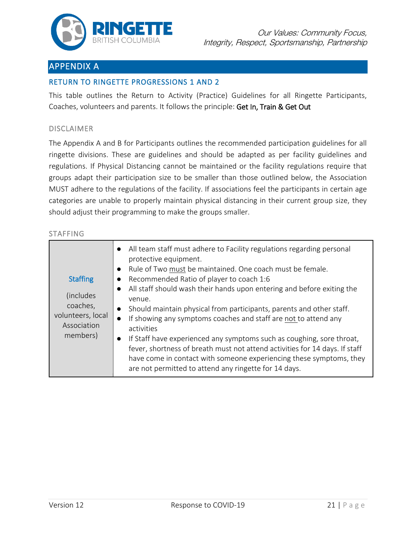

# APPENDIX A

#### [RETURN TO RINGETTE PROGRESSIONS 1 AND 2](#page-9-0)

This table outlines the Return to Activity (Practice) Guidelines for all Ringette Participants, Coaches, volunteers and parents. It follows the principle: Get In, Train & Get Out

#### DISCLAIMER

The Appendix A and B for Participants outlines the recommended participation guidelines for all ringette divisions. These are guidelines and should be adapted as per facility guidelines and regulations. If Physical Distancing cannot be maintained or the facility regulations require that groups adapt their participation size to be smaller than those outlined below, the Association MUST adhere to the regulations of the facility. If associations feel the participants in certain age categories are unable to properly maintain physical distancing in their current group size, they should adjust their programming to make the groups smaller.

#### STAFFING

| <b>Staffing</b><br>(includes)<br>coaches,<br>volunteers, local<br>Association<br>members) | All team staff must adhere to Facility regulations regarding personal<br>protective equipment.<br>Rule of Two must be maintained. One coach must be female.<br>Recommended Ratio of player to coach 1:6<br>All staff should wash their hands upon entering and before exiting the<br>$\bullet$<br>venue.<br>Should maintain physical from participants, parents and other staff.<br>If showing any symptoms coaches and staff are not to attend any<br>$\bullet$<br>activities<br>If Staff have experienced any symptoms such as coughing, sore throat,<br>$\bullet$<br>fever, shortness of breath must not attend activities for 14 days. If staff<br>have come in contact with someone experiencing these symptoms, they<br>are not permitted to attend any ringette for 14 days. |
|-------------------------------------------------------------------------------------------|-------------------------------------------------------------------------------------------------------------------------------------------------------------------------------------------------------------------------------------------------------------------------------------------------------------------------------------------------------------------------------------------------------------------------------------------------------------------------------------------------------------------------------------------------------------------------------------------------------------------------------------------------------------------------------------------------------------------------------------------------------------------------------------|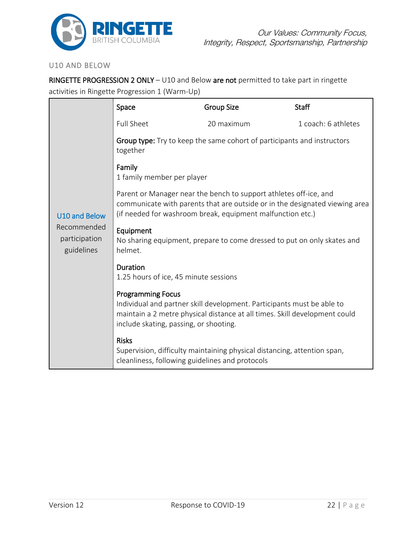

#### U10 AND BELOW

RINGETTE PROGRESSION 2 ONLY – U10 and Below are not permitted to take part in ringette activities in Ringette Progression 1 (Warm-Up)

|                                                                    | Space                                                                                                                                                                                                                      | <b>Group Size</b>                                                        | <b>Staff</b>        |  |  |
|--------------------------------------------------------------------|----------------------------------------------------------------------------------------------------------------------------------------------------------------------------------------------------------------------------|--------------------------------------------------------------------------|---------------------|--|--|
|                                                                    | <b>Full Sheet</b>                                                                                                                                                                                                          | 20 maximum                                                               | 1 coach: 6 athletes |  |  |
|                                                                    | Group type: Try to keep the same cohort of participants and instructors<br>together                                                                                                                                        |                                                                          |                     |  |  |
|                                                                    | Family<br>1 family member per player                                                                                                                                                                                       |                                                                          |                     |  |  |
| <b>U10 and Below</b><br>Recommended<br>participation<br>guidelines | Parent or Manager near the bench to support athletes off-ice, and<br>communicate with parents that are outside or in the designated viewing area<br>(if needed for washroom break, equipment malfunction etc.)             |                                                                          |                     |  |  |
|                                                                    | Equipment<br>No sharing equipment, prepare to come dressed to put on only skates and<br>helmet.                                                                                                                            |                                                                          |                     |  |  |
|                                                                    | Duration<br>1.25 hours of ice, 45 minute sessions                                                                                                                                                                          |                                                                          |                     |  |  |
|                                                                    | <b>Programming Focus</b><br>Individual and partner skill development. Participants must be able to<br>maintain a 2 metre physical distance at all times. Skill development could<br>include skating, passing, or shooting. |                                                                          |                     |  |  |
|                                                                    | <b>Risks</b><br>cleanliness, following guidelines and protocols                                                                                                                                                            | Supervision, difficulty maintaining physical distancing, attention span, |                     |  |  |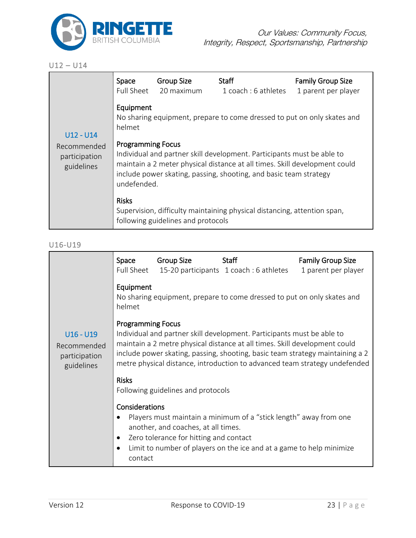

#### U12 – U14

|                                                           | Space<br><b>Full Sheet</b>                                                                                                                                                                                                                                           | <b>Group Size</b><br>20 maximum    | <b>Staff</b><br>1 coach: 6 athletes                                      | <b>Family Group Size</b><br>1 parent per player |  |
|-----------------------------------------------------------|----------------------------------------------------------------------------------------------------------------------------------------------------------------------------------------------------------------------------------------------------------------------|------------------------------------|--------------------------------------------------------------------------|-------------------------------------------------|--|
| $U12 - U14$<br>Recommended<br>participation<br>guidelines | Equipment<br>helmet                                                                                                                                                                                                                                                  |                                    | No sharing equipment, prepare to come dressed to put on only skates and  |                                                 |  |
|                                                           | <b>Programming Focus</b><br>Individual and partner skill development. Participants must be able to<br>maintain a 2 meter physical distance at all times. Skill development could<br>include power skating, passing, shooting, and basic team strategy<br>undefended. |                                    |                                                                          |                                                 |  |
|                                                           | <b>Risks</b>                                                                                                                                                                                                                                                         | following guidelines and protocols | Supervision, difficulty maintaining physical distancing, attention span, |                                                 |  |

### U16-U19

|                                                           | Space                                                                                                                                                                                                                                                                                                                                           | Group Size                                                                    | Staff<br>Full Sheet 15-20 participants 1 coach: 6 athletes                                                                                | <b>Family Group Size</b><br>1 parent per player |
|-----------------------------------------------------------|-------------------------------------------------------------------------------------------------------------------------------------------------------------------------------------------------------------------------------------------------------------------------------------------------------------------------------------------------|-------------------------------------------------------------------------------|-------------------------------------------------------------------------------------------------------------------------------------------|-------------------------------------------------|
|                                                           | Equipment<br>helmet                                                                                                                                                                                                                                                                                                                             |                                                                               | No sharing equipment, prepare to come dressed to put on only skates and                                                                   |                                                 |
| $U16 - U19$<br>Recommended<br>participation<br>guidelines | <b>Programming Focus</b><br>Individual and partner skill development. Participants must be able to<br>maintain a 2 metre physical distance at all times. Skill development could<br>include power skating, passing, shooting, basic team strategy maintaining a 2<br>metre physical distance, introduction to advanced team strategy undefended |                                                                               |                                                                                                                                           |                                                 |
|                                                           | <b>Risks</b><br>Following guidelines and protocols                                                                                                                                                                                                                                                                                              |                                                                               |                                                                                                                                           |                                                 |
|                                                           | Considerations<br>contact                                                                                                                                                                                                                                                                                                                       | another, and coaches, at all times.<br>Zero tolerance for hitting and contact | Players must maintain a minimum of a "stick length" away from one<br>Limit to number of players on the ice and at a game to help minimize |                                                 |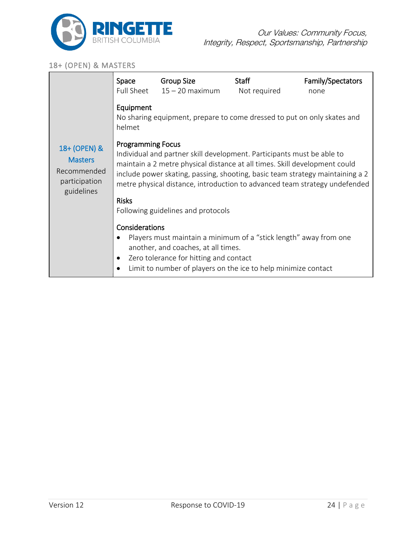

#### 18+ (OPEN) & MASTERS

|                                                                              | Space                                                                                                                                                                                                                                                                                                                                           | <b>Group Size</b><br>Full Sheet $15 - 20$ maximum                                                                                                                                                                    | <b>Staff</b><br>Not required | Family/Spectators<br>none |  |
|------------------------------------------------------------------------------|-------------------------------------------------------------------------------------------------------------------------------------------------------------------------------------------------------------------------------------------------------------------------------------------------------------------------------------------------|----------------------------------------------------------------------------------------------------------------------------------------------------------------------------------------------------------------------|------------------------------|---------------------------|--|
| 18+ (OPEN) &<br><b>Masters</b><br>Recommended<br>participation<br>guidelines | Equipment<br>No sharing equipment, prepare to come dressed to put on only skates and<br>helmet                                                                                                                                                                                                                                                  |                                                                                                                                                                                                                      |                              |                           |  |
|                                                                              | <b>Programming Focus</b><br>Individual and partner skill development. Participants must be able to<br>maintain a 2 metre physical distance at all times. Skill development could<br>include power skating, passing, shooting, basic team strategy maintaining a 2<br>metre physical distance, introduction to advanced team strategy undefended |                                                                                                                                                                                                                      |                              |                           |  |
|                                                                              | <b>Risks</b>                                                                                                                                                                                                                                                                                                                                    | Following guidelines and protocols                                                                                                                                                                                   |                              |                           |  |
|                                                                              | Considerations<br>$\bullet$<br>$\bullet$                                                                                                                                                                                                                                                                                                        | Players must maintain a minimum of a "stick length" away from one<br>another, and coaches, at all times.<br>Zero tolerance for hitting and contact<br>Limit to number of players on the ice to help minimize contact |                              |                           |  |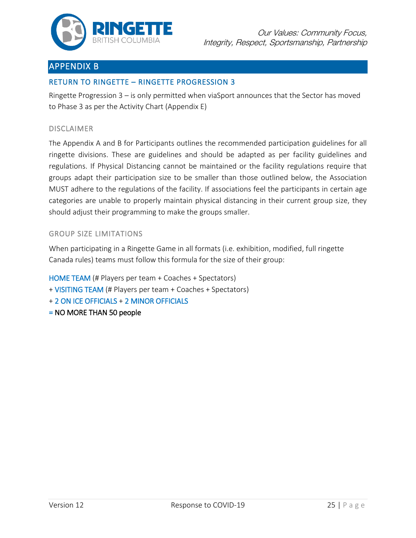

# APPENDIX B

### RETURN TO RINGETTE – RINGETTE [PROGRESSION 3](#page-10-0)

Ringette Progression 3 – is only permitted when viaSport announces that the Sector has moved to Phase 3 as per the Activity Chart (Appendix E)

#### DISCLAIMER

The Appendix A and B for Participants outlines the recommended participation guidelines for all ringette divisions. These are guidelines and should be adapted as per facility guidelines and regulations. If Physical Distancing cannot be maintained or the facility regulations require that groups adapt their participation size to be smaller than those outlined below, the Association MUST adhere to the regulations of the facility. If associations feel the participants in certain age categories are unable to properly maintain physical distancing in their current group size, they should adjust their programming to make the groups smaller.

#### GROUP SIZE LIMITATIONS

When participating in a Ringette Game in all formats (i.e. exhibition, modified, full ringette Canada rules) teams must follow this formula for the size of their group:

HOME TEAM (# Players per team + Coaches + Spectators)

- + VISITING TEAM (# Players per team + Coaches + Spectators)
- + 2 ON ICE OFFICIALS + 2 MINOR OFFICIALS
- = NO MORE THAN 50 people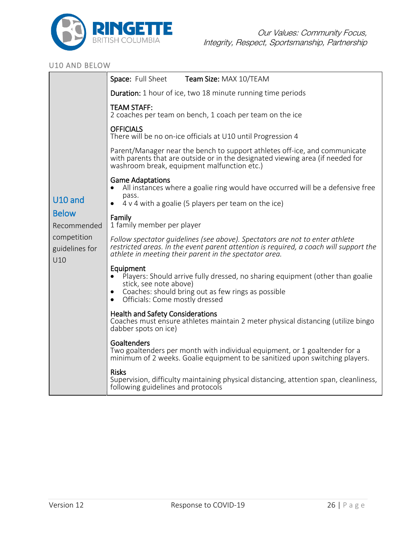

#### U10 AND BELOW

|                                      | Space: Full Sheet<br>Team Size: MAX 10/TEAM                                                                                                                                                                                                         |
|--------------------------------------|-----------------------------------------------------------------------------------------------------------------------------------------------------------------------------------------------------------------------------------------------------|
|                                      | <b>Duration:</b> 1 hour of ice, two 18 minute running time periods                                                                                                                                                                                  |
|                                      | <b>TEAM STAFF:</b><br>2 coaches per team on bench, 1 coach per team on the ice                                                                                                                                                                      |
|                                      | <b>OFFICIALS</b><br>There will be no on-ice officials at U10 until Progression 4                                                                                                                                                                    |
|                                      | Parent/Manager near the bench to support athletes off-ice, and communicate<br>with parents that are outside or in the designated viewing area (if needed for<br>washroom break, equipment malfunction etc.)                                         |
| U10 and                              | <b>Game Adaptations</b><br>All instances where a goalie ring would have occurred will be a defensive free<br>pass.<br>4 v 4 with a goalie (5 players per team on the ice)<br>$\bullet$                                                              |
| <b>Below</b><br>Recommended          | Family<br>1 family member per player                                                                                                                                                                                                                |
| competition<br>guidelines for<br>U10 | Follow spectator guidelines (see above). Spectators are not to enter athlete<br>restricted areas. In the event parent attention is required, a coach will support the<br>athlete in meeting their parent in the spectator area.                     |
|                                      | Equipment<br>Players: Should arrive fully dressed, no sharing equipment (other than goalie<br>$\bullet$<br>stick, see note above)<br>Coaches: should bring out as few rings as possible<br>$\bullet$<br>Officials: Come mostly dressed<br>$\bullet$ |
|                                      | <b>Health and Safety Considerations</b><br>Coaches must ensure athletes maintain 2 meter physical distancing (utilize bingo<br>dabber spots on ice)                                                                                                 |
|                                      | Goaltenders<br>Two goaltenders per month with individual equipment, or 1 goaltender for a<br>minimum of 2 weeks. Goalie equipment to be sanitized upon switching players.                                                                           |
|                                      | <b>Risks</b><br>Supervision, difficulty maintaining physical distancing, attention span, cleanliness,<br>following guidelines and protocols                                                                                                         |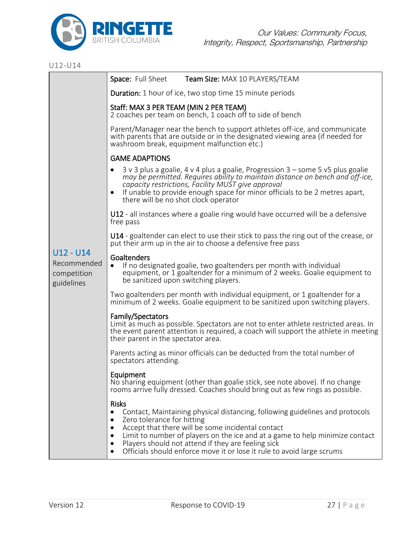

### U12-U14

|                                                         | Space: Full Sheet<br>Team Size: MAX 10 PLAYERS/TEAM                                                                                                                                                                                                                                                                                                                                             |  |  |  |
|---------------------------------------------------------|-------------------------------------------------------------------------------------------------------------------------------------------------------------------------------------------------------------------------------------------------------------------------------------------------------------------------------------------------------------------------------------------------|--|--|--|
|                                                         | <b>Duration:</b> 1 hour of ice, two stop time 15 minute periods                                                                                                                                                                                                                                                                                                                                 |  |  |  |
|                                                         | Staff: MAX 3 PER TEAM (MIN 2 PER TEAM)<br>2 coaches per team on bench, 1 coach off to side of bench                                                                                                                                                                                                                                                                                             |  |  |  |
|                                                         | Parent/Manager near the bench to support athletes off-ice, and communicate<br>with parents that are outside or in the designated viewing area (if needed for<br>washroom break, equipment malfunction etc.)                                                                                                                                                                                     |  |  |  |
|                                                         | <b>GAME ADAPTIONS</b>                                                                                                                                                                                                                                                                                                                                                                           |  |  |  |
|                                                         | 3 v 3 plus a goalie, 4 v 4 plus a goalie, Progression 3 – some 5 v5 plus goalie<br>may be permitted. Requires ability to maintain distance on bench and off-ice,<br>capacity restrictions, Facility MUST give approval<br>If unable to provide enough space for minor officials to be 2 metres apart,<br>there will be no shot clock operator                                                   |  |  |  |
|                                                         | U12 - all instances where a goalie ring would have occurred will be a defensive<br>free pass                                                                                                                                                                                                                                                                                                    |  |  |  |
|                                                         | U14 - goaltender can elect to use their stick to pass the ring out of the crease, or<br>put their arm up in the air to choose a defensive free pass                                                                                                                                                                                                                                             |  |  |  |
| $U12 - U14$<br>Recommended<br>competition<br>guidelines | Goaltenders<br>If no designated goalie, two goaltenders per month with individual<br>$\bullet$<br>equipment, or 1 goaltender for a minimum of 2 weeks. Goalie equipment to<br>be sanitized upon switching players.                                                                                                                                                                              |  |  |  |
|                                                         | Two goaltenders per month with individual equipment, or 1 goaltender for a<br>minimum of 2 weeks. Goalie equipment to be sanitized upon switching players.                                                                                                                                                                                                                                      |  |  |  |
|                                                         | Family/Spectators<br>Limit as much as possible. Spectators are not to enter athlete restricted areas. In<br>the event parent attention is required, a coach will support the athlete in meeting<br>their parent in the spectator area.                                                                                                                                                          |  |  |  |
|                                                         | Parents acting as minor officials can be deducted from the total number of<br>spectators attending.                                                                                                                                                                                                                                                                                             |  |  |  |
|                                                         | Equipment<br>No sharing equipment (other than goalie stick, see note above). If no change<br>rooms arrive fully dressed. Coaches should bring out as few rings as possible.                                                                                                                                                                                                                     |  |  |  |
|                                                         | <b>Risks</b><br>Contact, Maintaining physical distancing, following guidelines and protocols<br>Zero tolerance for hitting<br>Accept that there will be some incidental contact<br>Limit to number of players on the ice and at a game to help minimize contact<br>Players should not attend if they are feeling sick<br>Officials should enforce move it or lose it rule to avoid large scrums |  |  |  |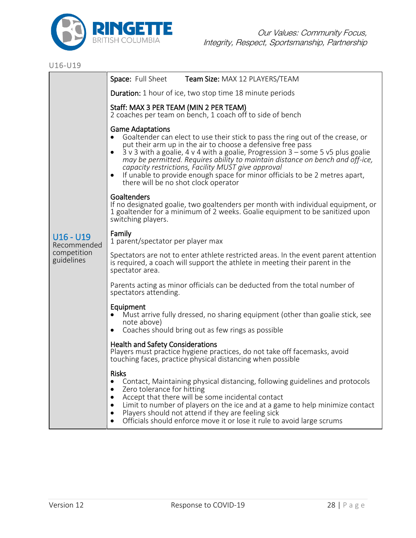

### U16-U19

|                            | Space: Full Sheet<br>Team Size: MAX 12 PLAYERS/TEAM                                                                                                                                                                                                                                                                                                                                                                                                                                                                                        |  |  |
|----------------------------|--------------------------------------------------------------------------------------------------------------------------------------------------------------------------------------------------------------------------------------------------------------------------------------------------------------------------------------------------------------------------------------------------------------------------------------------------------------------------------------------------------------------------------------------|--|--|
|                            | <b>Duration:</b> 1 hour of ice, two stop time 18 minute periods                                                                                                                                                                                                                                                                                                                                                                                                                                                                            |  |  |
|                            | Staff: MAX 3 PER TEAM (MIN 2 PER TEAM)<br>2 coaches per team on bench, 1 coach off to side of bench                                                                                                                                                                                                                                                                                                                                                                                                                                        |  |  |
|                            | <b>Game Adaptations</b><br>Goaltender can elect to use their stick to pass the ring out of the crease, or<br>$\bullet$<br>put their arm up in the air to choose a defensive free pass<br>$3$ v 3 with a goalie, 4 v 4 with a goalie, Progression $3$ – some 5 v5 plus goalie<br>may be permitted. Requires ability to maintain distance on bench and off-ice,<br>capacity restrictions, Facility MUST give approval<br>If unable to provide enough space for minor officials to be 2 metres apart,<br>there will be no shot clock operator |  |  |
|                            | Goaltenders<br>If no designated goalie, two goaltenders per month with individual equipment, or<br>1 goaltender for a minimum of 2 weeks. Goalie equipment to be sanitized upon<br>switching players.                                                                                                                                                                                                                                                                                                                                      |  |  |
| $U16 - U19$<br>Recommended | Family<br>1 parent/spectator per player max                                                                                                                                                                                                                                                                                                                                                                                                                                                                                                |  |  |
| competition<br>guidelines  | Spectators are not to enter athlete restricted areas. In the event parent attention<br>is required, a coach will support the athlete in meeting their parent in the<br>spectator area.                                                                                                                                                                                                                                                                                                                                                     |  |  |
|                            | Parents acting as minor officials can be deducted from the total number of<br>spectators attending.                                                                                                                                                                                                                                                                                                                                                                                                                                        |  |  |
|                            | Equipment<br>Must arrive fully dressed, no sharing equipment (other than goalie stick, see<br>note above)<br>Coaches should bring out as few rings as possible<br>$\bullet$                                                                                                                                                                                                                                                                                                                                                                |  |  |
|                            | <b>Health and Safety Considerations</b><br>Players must practice hygiene practices, do not take off facemasks, avoid<br>touching faces, practice physical distancing when possible                                                                                                                                                                                                                                                                                                                                                         |  |  |
|                            | <b>Risks</b><br>Contact, Maintaining physical distancing, following guidelines and protocols<br>$\bullet$<br>Zero tolerance for hitting<br>$\bullet$<br>Accept that there will be some incidental contact<br>$\bullet$<br>Limit to number of players on the ice and at a game to help minimize contact<br>$\bullet$<br>Players should not attend if they are feeling sick<br>Officials should enforce move it or lose it rule to avoid large scrums<br>$\bullet$                                                                           |  |  |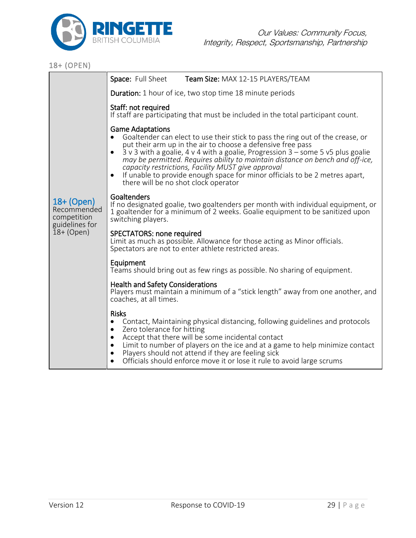

| 18+ (OPEN)                                                                 |                                                                                                                                                                                                                                                                                                                                                                                                                                                                                                                           |
|----------------------------------------------------------------------------|---------------------------------------------------------------------------------------------------------------------------------------------------------------------------------------------------------------------------------------------------------------------------------------------------------------------------------------------------------------------------------------------------------------------------------------------------------------------------------------------------------------------------|
|                                                                            | Space: Full Sheet<br>Team Size: MAX 12-15 PLAYERS/TEAM                                                                                                                                                                                                                                                                                                                                                                                                                                                                    |
| 18+ (Open)<br>Recommended<br>competition<br>guidelines for<br>$18+$ (Open) | <b>Duration:</b> 1 hour of ice, two stop time 18 minute periods                                                                                                                                                                                                                                                                                                                                                                                                                                                           |
|                                                                            | Staff: not required<br>If staff are participating that must be included in the total participant count.                                                                                                                                                                                                                                                                                                                                                                                                                   |
|                                                                            | <b>Game Adaptations</b><br>Goaltender can elect to use their stick to pass the ring out of the crease, or<br>put their arm up in the air to choose a defensive free pass<br>3 v 3 with a goalie, 4 v 4 with a goalie, Progression 3 - some 5 v5 plus goalie<br>may be permitted. Requires ability to maintain distance on bench and off-ice,<br>capacity restrictions, Facility MUST give approval<br>If unable to provide enough space for minor officials to be 2 metres apart,<br>there will be no shot clock operator |
|                                                                            | Goaltenders<br>If no designated goalie, two goaltenders per month with individual equipment, or<br>1 goaltender for a minimum of 2 weeks. Goalie equipment to be sanitized upon<br>switching players.                                                                                                                                                                                                                                                                                                                     |
|                                                                            | SPECTATORS: none required<br>Limit as much as possible. Allowance for those acting as Minor officials.<br>Spectators are not to enter athlete restricted areas.                                                                                                                                                                                                                                                                                                                                                           |
|                                                                            | Equipment<br>Teams should bring out as few rings as possible. No sharing of equipment.                                                                                                                                                                                                                                                                                                                                                                                                                                    |
|                                                                            | <b>Health and Safety Considerations</b><br>Players must maintain a minimum of a "stick length" away from one another, and<br>coaches, at all times.                                                                                                                                                                                                                                                                                                                                                                       |
|                                                                            | <b>Risks</b><br>Contact, Maintaining physical distancing, following guidelines and protocols<br>$\bullet$<br>Zero tolerance for hitting<br>$\bullet$<br>Accept that there will be some incidental contact<br>$\bullet$<br>Limit to number of players on the ice and at a game to help minimize contact<br>Players should not attend if they are feeling sick<br>$\cdot$ 1.1                                                                                                                                               |

• Officials should enforce move it or lose it rule to avoid large scrums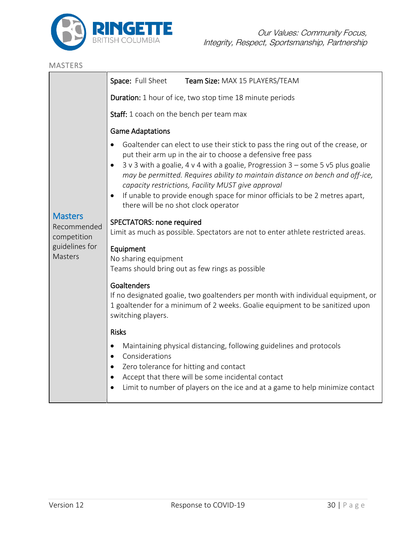

# MASTERS **Masters** Recommended competition guidelines for **Masters** Space: Full Sheet Team Size: MAX 15 PLAYERS/TEAM Duration: 1 hour of ice, two stop time 18 minute periods Staff: 1 coach on the bench per team max Game Adaptations • Goaltender can elect to use their stick to pass the ring out of the crease, or put their arm up in the air to choose a defensive free pass • 3 v 3 with a goalie, 4 v 4 with a goalie, Progression 3 – some 5 v5 plus goalie *may be permitted. Requires ability to maintain distance on bench and off-ice, capacity restrictions, Facility MUST give approval* • If unable to provide enough space for minor officials to be 2 metres apart, there will be no shot clock operator SPECTATORS: none required Limit as much as possible. Spectators are not to enter athlete restricted areas. Equipment No sharing equipment Teams should bring out as few rings as possible Goaltenders If no designated goalie, two goaltenders per month with individual equipment, or 1 goaltender for a minimum of 2 weeks. Goalie equipment to be sanitized upon switching players. Risks • Maintaining physical distancing, following guidelines and protocols • Considerations • Zero tolerance for hitting and contact • Accept that there will be some incidental contact • Limit to number of players on the ice and at a game to help minimize contact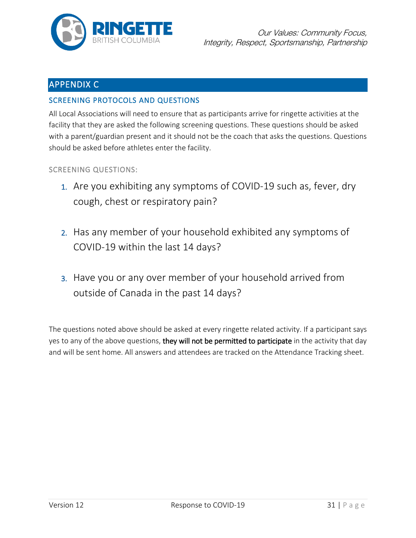

# APPENDIX C

### SCREENING PROTOCOLS AND QUESTIONS

All Local Associations will need to ensure that as participants arrive for ringette activities at the facility that they are asked the following screening questions. These questions should be asked with a parent/guardian present and it should not be the coach that asks the questions. Questions should be asked before athletes enter the facility.

SCREENING QUESTIONS:

- 1. Are you exhibiting any symptoms of COVID-19 such as, fever, dry cough, chest or respiratory pain?
- 2. Has any member of your household exhibited any symptoms of COVID-19 within the last 14 days?
- 3. Have you or any over member of your household arrived from outside of Canada in the past 14 days?

The questions noted above should be asked at every ringette related activity. If a participant says yes to any of the above questions, they will not be permitted to participate in the activity that day and will be sent home. All answers and attendees are tracked on the Attendance Tracking sheet.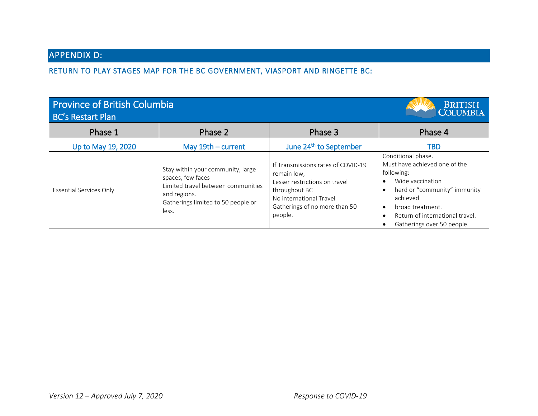# APPENDIX D:

RETURN TO PLAY STAGES MAP FOR THE BC GOVERNMENT, VIASPORT AND RINGETTE BC:

| <b>Province of British Columbia</b><br><b>BC's Restart Plan</b> | <b>BRITISH</b><br><b>COLUMBIA</b>                                                                                                                           |                                                                                                                                                                            |                                                                                                                                                                                                                        |
|-----------------------------------------------------------------|-------------------------------------------------------------------------------------------------------------------------------------------------------------|----------------------------------------------------------------------------------------------------------------------------------------------------------------------------|------------------------------------------------------------------------------------------------------------------------------------------------------------------------------------------------------------------------|
| Phase 1                                                         | Phase 2                                                                                                                                                     | Phase 3                                                                                                                                                                    | Phase 4                                                                                                                                                                                                                |
| Up to May 19, 2020                                              | May $19th$ - current                                                                                                                                        | June 24 <sup>th</sup> to September                                                                                                                                         | TBD                                                                                                                                                                                                                    |
| <b>Essential Services Only</b>                                  | Stay within your community, large<br>spaces, few faces<br>Limited travel between communities<br>and regions.<br>Gatherings limited to 50 people or<br>less. | If Transmissions rates of COVID-19<br>remain low,<br>Lesser restrictions on travel<br>throughout BC<br>No international Travel<br>Gatherings of no more than 50<br>people. | Conditional phase.<br>Must have achieved one of the<br>following:<br>Wide vaccination<br>herd or "community" immunity<br>achieved<br>broad treatment.<br>Return of international travel.<br>Gatherings over 50 people. |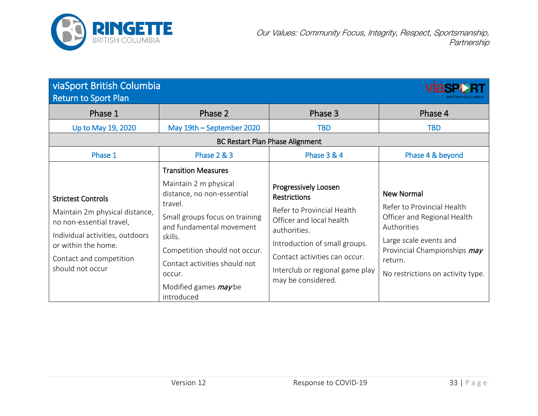

| <b>viaSport British Columbia</b><br><b>Return to Sport Plan</b>                                                                                                                                  |                                                                                                                                                                                                                                                   |                                                                                                                                                                                                                                                  |                                                                                                                                                                                                         |  |  |  |  |  |
|--------------------------------------------------------------------------------------------------------------------------------------------------------------------------------------------------|---------------------------------------------------------------------------------------------------------------------------------------------------------------------------------------------------------------------------------------------------|--------------------------------------------------------------------------------------------------------------------------------------------------------------------------------------------------------------------------------------------------|---------------------------------------------------------------------------------------------------------------------------------------------------------------------------------------------------------|--|--|--|--|--|
| Phase 1                                                                                                                                                                                          | Phase 2                                                                                                                                                                                                                                           | Phase 3                                                                                                                                                                                                                                          | Phase 4                                                                                                                                                                                                 |  |  |  |  |  |
| Up to May 19, 2020                                                                                                                                                                               | May 19th - September 2020                                                                                                                                                                                                                         | <b>TBD</b>                                                                                                                                                                                                                                       | <b>TBD</b>                                                                                                                                                                                              |  |  |  |  |  |
| <b>BC Restart Plan Phase Alignment</b>                                                                                                                                                           |                                                                                                                                                                                                                                                   |                                                                                                                                                                                                                                                  |                                                                                                                                                                                                         |  |  |  |  |  |
| Phase 1                                                                                                                                                                                          | <b>Phase 2 &amp; 3</b>                                                                                                                                                                                                                            | <b>Phase 3 &amp; 4</b>                                                                                                                                                                                                                           | Phase 4 & beyond                                                                                                                                                                                        |  |  |  |  |  |
| <b>Strictest Controls</b><br>Maintain 2m physical distance,<br>no non-essential travel,<br>Individual activities, outdoors<br>or within the home.<br>Contact and competition<br>should not occur | <b>Transition Measures</b><br>Maintain 2 m physical<br>distance, no non-essential<br>travel.<br>Small groups focus on training<br>and fundamental movement<br>skills.<br>Competition should not occur.<br>Contact activities should not<br>occur. | Progressively Loosen<br><b>Restrictions</b><br>Refer to Provincial Health<br>Officer and local health<br>authorities.<br>Introduction of small groups.<br>Contact activities can occur.<br>Interclub or regional game play<br>may be considered. | <b>New Normal</b><br>Refer to Provincial Health<br>Officer and Regional Health<br>Authorities<br>Large scale events and<br>Provincial Championships may<br>return.<br>No restrictions on activity type. |  |  |  |  |  |
|                                                                                                                                                                                                  | Modified games $may$ be<br>introduced                                                                                                                                                                                                             |                                                                                                                                                                                                                                                  |                                                                                                                                                                                                         |  |  |  |  |  |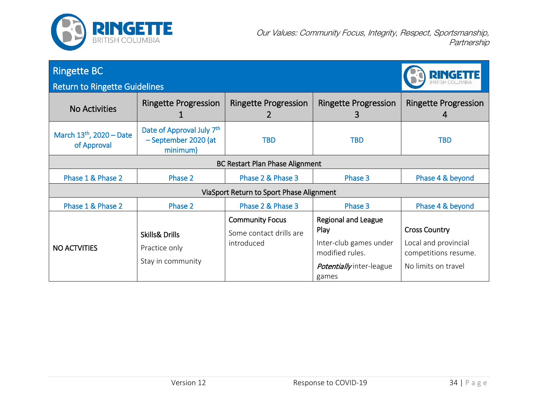

| <b>Ringette BC</b>                        | <b>RINGETTE</b>                                                 |                                                                 |                                                                                                                      |                                                                                             |  |  |  |
|-------------------------------------------|-----------------------------------------------------------------|-----------------------------------------------------------------|----------------------------------------------------------------------------------------------------------------------|---------------------------------------------------------------------------------------------|--|--|--|
| <b>Return to Ringette Guidelines</b>      |                                                                 |                                                                 |                                                                                                                      |                                                                                             |  |  |  |
| <b>No Activities</b>                      | <b>Ringette Progression</b>                                     | <b>Ringette Progression</b>                                     | <b>Ringette Progression</b><br>3                                                                                     | <b>Ringette Progression</b><br>4                                                            |  |  |  |
| March $13th$ , 2020 – Date<br>of Approval | Date of Approval July 7th<br>- September 2020 (at<br>minimum)   | <b>TBD</b>                                                      | <b>TBD</b>                                                                                                           | <b>TBD</b>                                                                                  |  |  |  |
| <b>BC Restart Plan Phase Alignment</b>    |                                                                 |                                                                 |                                                                                                                      |                                                                                             |  |  |  |
| Phase 1 & Phase 2                         | Phase 2                                                         | Phase 2 & Phase 3                                               | Phase 3                                                                                                              | Phase 4 & beyond                                                                            |  |  |  |
| ViaSport Return to Sport Phase Alignment  |                                                                 |                                                                 |                                                                                                                      |                                                                                             |  |  |  |
| Phase 1 & Phase 2                         | Phase 2                                                         | Phase 2 & Phase 3                                               | Phase 3                                                                                                              | Phase 4 & beyond                                                                            |  |  |  |
| <b>NO ACTVITIES</b>                       | <b>Skills&amp; Drills</b><br>Practice only<br>Stay in community | <b>Community Focus</b><br>Some contact drills are<br>introduced | <b>Regional and League</b><br>Play<br>Inter-club games under<br>modified rules.<br>Potentially inter-league<br>games | <b>Cross Country</b><br>Local and provincial<br>competitions resume.<br>No limits on travel |  |  |  |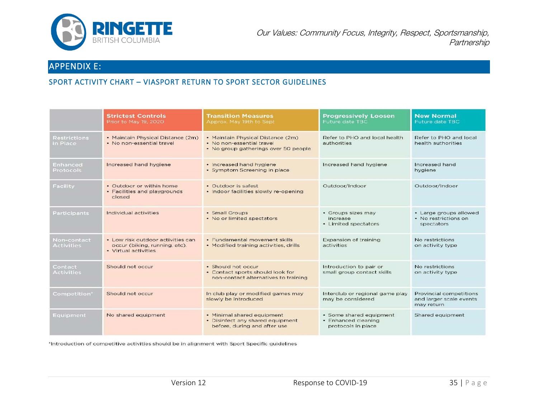

# APPENDIX E:

### SPORT ACTIVITY CHART – VIASPORT RETURN TO SPORT SECTOR GUIDELINES

|                                 | <b>Strictest Controls</b><br>Prior to May 19, 2020                                         | <b>Transition Measures</b><br>Approx. May 19th to Sept                                                 | <b>Progressively Loosen</b><br>Future date TBC                       | <b>New Normal</b><br>Future date TBC                                    |
|---------------------------------|--------------------------------------------------------------------------------------------|--------------------------------------------------------------------------------------------------------|----------------------------------------------------------------------|-------------------------------------------------------------------------|
| <b>Restrictions</b><br>in Place | • Maintain Physical Distance (2m)<br>. No non-essential travel                             | • Maintain Physical Distance (2m)<br>· No non-essential travel<br>• No group gatherings over 50 people | Refer to PHO and local health<br>authorities                         | Refer to PHO and local<br>health authorities                            |
| Enhanced<br>Protocols           | Increased hand hygiene                                                                     | · Increased hand hygiene<br>• Symptom Screening in place                                               | Increased hand hygiene                                               | Increased hand<br>hygiene                                               |
| Facility                        | • Outdoor or within home<br>• Facilities and playgrounds<br>closed                         | • Outdoor is safest<br>· Indoor facilities slowly re-opening                                           | Outdoor/Indoor                                                       | Outdoor/Indoor                                                          |
| Participants                    | Individual activities                                                                      | • Small Groups<br>• No or limited spectators                                                           | • Groups sizes may<br>increase<br>• Limited spectators               | • Large groups allowed<br>• No restrictions on<br>spectators            |
| Non-contact<br>Activities       | • Low risk outdoor activities can<br>occur (biking, running, etc).<br>• Virtual activities | • Fundamental movement skills<br>• Modified training activities, drills                                | <b>Expansion of training</b><br>activities                           | No restrictions<br>on activity type                                     |
| Contact<br>Activities           | Should not occur                                                                           | · Should not occur<br>• Contact sports should look for<br>non-contact alternatives to training         | Introduction to pair or<br>small group contact skills                | No restrictions<br>on activity type                                     |
| Competition*                    | Should not occur                                                                           | In club play or modified games may<br>slowly be introduced                                             | Interclub or regional game play<br>may be considered                 | <b>Provincial competitions</b><br>and larger scale events<br>may return |
| Equipment                       | No shared equipment                                                                        | • Minimal shared equipment<br>• Disinfect any shared equipment<br>before, during and after use         | • Some shared equipment<br>· Enhanced cleaning<br>protocols in place | Shared equipment                                                        |

'Introduction of competitive activities should be in alignment with Sport Specific guidelines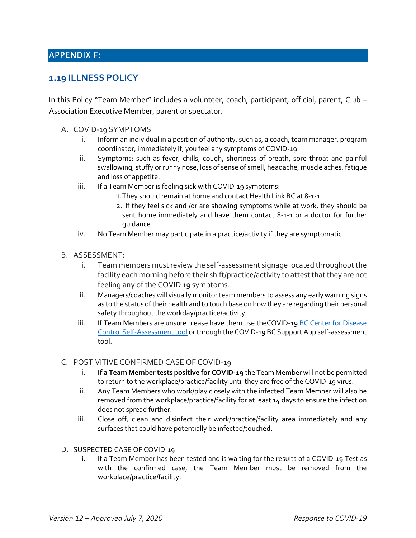# APPENDIX F:

## **1.19 ILLNESS POLICY**

In this Policy "Team Member" includes a volunteer, coach, participant, official, parent, Club – Association Executive Member, parent or spectator.

- A. COVID-19 SYMPTOMS
	- i. Inform an individual in a position of authority, such as, a coach, team manager, program coordinator, immediately if, you feel any symptoms of COVID-19
	- ii. Symptoms: such as fever, chills, cough, shortness of breath, sore throat and painful swallowing, stuffy or runny nose, loss of sense of smell, headache, muscle aches, fatigue and loss of appetite.
	- iii. If a Team Member is feeling sick with COVID-19 symptoms:
		- 1.They should remain at home and contact Health Link BC at 8-1-1.
		- 2. If they feel sick and /or are showing symptoms while at work, they should be sent home immediately and have them contact 8-1-1 or a doctor for further guidance.
	- iv. No Team Member may participate in a practice/activity if they are symptomatic.
- B. ASSESSMENT:
	- i. Team members must review the self-assessment signage located throughout the facility each morning before their shift/practice/activity to attest that they are not feeling any of the COVID 19 symptoms.
	- ii. Managers/coaches will visually monitor team members to assess any early warning signs as to the status of their health and to touch base on how they are regarding their personal safety throughout the workday/practice/activity.
	- iii. If Team Members are unsure please have them use theCOVID-19 BC Center for Disease [Control Self-Assessment tool](https://bc.thrive.health/covid19/en) or through the COVID-19 BC Support App self-assessment tool.

#### C. POSTIVITIVE CONFIRMED CASE OF COVID-19

- i. **If a Team Member tests positive for COVID-19** the Team Member will not be permitted to return to the workplace/practice/facility until they are free of the COVID-19 virus.
- ii. Any Team Members who work/play closely with the infected Team Member will also be removed from the workplace/practice/facility for at least 14 days to ensure the infection does not spread further.
- iii. Close off, clean and disinfect their work/practice/facility area immediately and any surfaces that could have potentially be infected/touched.
- D. SUSPECTED CASE OF COVID-19
	- i. If a Team Member has been tested and is waiting for the results of a COVID-19 Test as with the confirmed case, the Team Member must be removed from the workplace/practice/facility.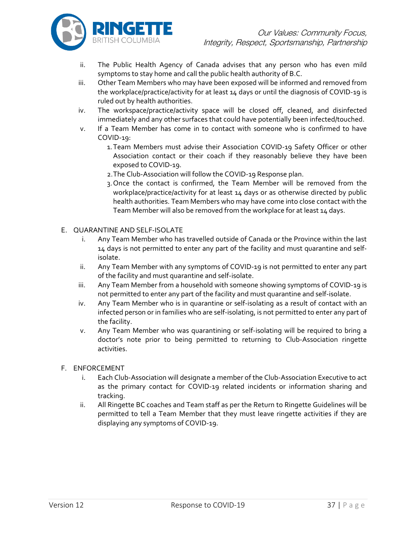

- ii. The Public Health Agency of Canada advises that any person who has even mild symptoms to stay home and call the public health authority of B.C.
- iii. Other Team Members who may have been exposed will be informed and removed from the workplace/practice/activity for at least 14 days or until the diagnosis of COVID-19 is ruled out by health authorities.
- iv. The workspace/practice/activity space will be closed off, cleaned, and disinfected immediately and any other surfaces that could have potentially been infected/touched.
- v. If a Team Member has come in to contact with someone who is confirmed to have COVID-19:
	- 1.Team Members must advise their Association COVID-19 Safety Officer or other Association contact or their coach if they reasonably believe they have been exposed to COVID-19.
	- 2.The Club-Association will follow the COVID-19 Response plan.
	- 3.Once the contact is confirmed, the Team Member will be removed from the workplace/practice/activity for at least 14 days or as otherwise directed by public health authorities. Team Members who may have come into close contact with the Team Member will also be removed from the workplace for at least 14 days.

#### E. QUARANTINE AND SELF-ISOLATE

- i. Any Team Member who has travelled outside of Canada or the Province within the last 14 days is not permitted to enter any part of the facility and must quarantine and selfisolate.
- ii. Any Team Member with any symptoms of COVID-19 is not permitted to enter any part of the facility and must quarantine and self-isolate.
- iii. Any Team Member from a household with someone showing symptoms of COVID-19 is not permitted to enter any part of the facility and must quarantine and self-isolate.
- iv. Any Team Member who is in quarantine or self-isolating as a result of contact with an infected person or in families who are self-isolating, is not permitted to enter any part of the facility.
- v. Any Team Member who was quarantining or self-isolating will be required to bring a doctor's note prior to being permitted to returning to Club-Association ringette activities.

#### F. ENFORCEMENT

- i. Each Club-Association will designate a member of the Club-Association Executive to act as the primary contact for COVID-19 related incidents or information sharing and tracking.
- ii. All Ringette BC coaches and Team staff as per the Return to Ringette Guidelines will be permitted to tell a Team Member that they must leave ringette activities if they are displaying any symptoms of COVID-19.